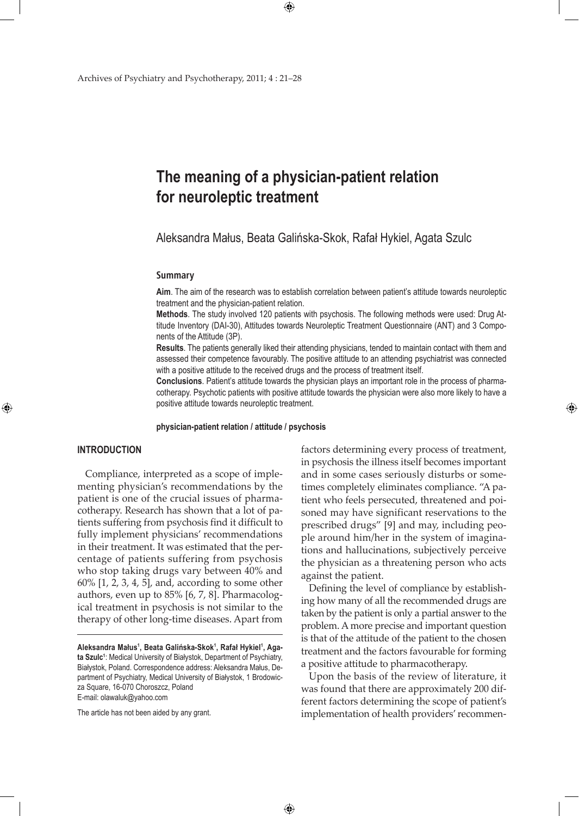# **The meaning of a physician-patient relation for neuroleptic treatment**

 $\bigoplus$ 

Aleksandra Małus, Beata Galińska-Skok, Rafał Hykiel, Agata Szulc

#### **Summary**

**Aim**. The aim of the research was to establish correlation between patient's attitude towards neuroleptic treatment and the physician-patient relation.

**Methods**. The study involved 120 patients with psychosis. The following methods were used: Drug Attitude Inventory (DAI-30), Attitudes towards Neuroleptic Treatment Questionnaire (ANT) and 3 Components of the Attitude (3P).

**Results**. The patients generally liked their attending physicians, tended to maintain contact with them and assessed their competence favourably. The positive attitude to an attending psychiatrist was connected with a positive attitude to the received drugs and the process of treatment itself.

**Conclusions**. Patient's attitude towards the physician plays an important role in the process of pharmacotherapy. Psychotic patients with positive attitude towards the physician were also more likely to have a positive attitude towards neuroleptic treatment.

### **physician-patient relation / attitude / psychosis**

 $\bigoplus$ 

## **INTRODUCTION**

⊕

Compliance, interpreted as a scope of implementing physician's recommendations by the patient is one of the crucial issues of pharmacotherapy. Research has shown that a lot of patients suffering from psychosis find it difficult to fully implement physicians' recommendations in their treatment. It was estimated that the percentage of patients suffering from psychosis who stop taking drugs vary between 40% and 60% [1, 2, 3, 4, 5], and, according to some other authors, even up to 85% [6, 7, 8]. Pharmacological treatment in psychosis is not similar to the therapy of other long-time diseases. Apart from

The article has not been aided by any grant.

factors determining every process of treatment, in psychosis the illness itself becomes important and in some cases seriously disturbs or sometimes completely eliminates compliance. "A patient who feels persecuted, threatened and poisoned may have significant reservations to the prescribed drugs" [9] and may, including people around him/her in the system of imaginations and hallucinations, subjectively perceive the physician as a threatening person who acts against the patient.

⊕

Defining the level of compliance by establishing how many of all the recommended drugs are taken by the patient is only a partial answer to the problem. A more precise and important question is that of the attitude of the patient to the chosen treatment and the factors favourable for forming a positive attitude to pharmacotherapy.

Upon the basis of the review of literature, it was found that there are approximately 200 different factors determining the scope of patient's implementation of health providers' recommen-

**Aleksandra Małus<sup>1</sup> , Beata Galińska-Skok<sup>1</sup> , Rafał Hykiel<sup>1</sup> , Agata Szulc1** : Medical University of Białystok, Department of Psychiatry, Białystok, Poland. Correspondence address: Aleksandra Małus, Department of Psychiatry, Medical University of Białystok, 1 Brodowicza Square, 16-070 Choroszcz, Poland E-mail: olawaluk@yahoo.com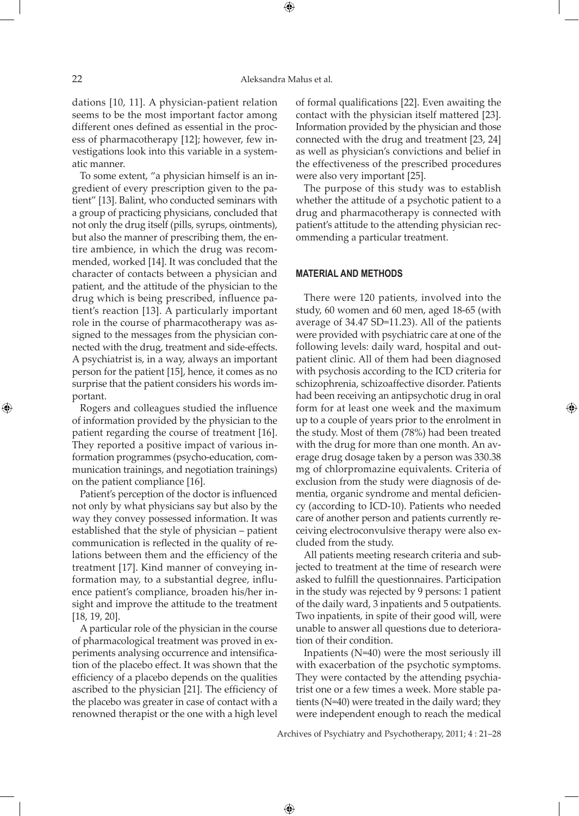dations [10, 11]. A physician-patient relation seems to be the most important factor among different ones defined as essential in the process of pharmacotherapy [12]; however, few investigations look into this variable in a systematic manner.

To some extent, "a physician himself is an ingredient of every prescription given to the patient" [13]. Balint, who conducted seminars with a group of practicing physicians, concluded that not only the drug itself (pills, syrups, ointments), but also the manner of prescribing them, the entire ambience, in which the drug was recommended, worked [14]. It was concluded that the character of contacts between a physician and patient, and the attitude of the physician to the drug which is being prescribed, influence patient's reaction [13]. A particularly important role in the course of pharmacotherapy was assigned to the messages from the physician connected with the drug, treatment and side-effects. A psychiatrist is, in a way, always an important person for the patient [15], hence, it comes as no surprise that the patient considers his words important.

Rogers and colleagues studied the influence of information provided by the physician to the patient regarding the course of treatment [16]. They reported a positive impact of various information programmes (psycho-education, communication trainings, and negotiation trainings) on the patient compliance [16].

Patient's perception of the doctor is influenced not only by what physicians say but also by the way they convey possessed information. It was established that the style of physician – patient communication is reflected in the quality of relations between them and the efficiency of the treatment [17]. Kind manner of conveying information may, to a substantial degree, influence patient's compliance, broaden his/her insight and improve the attitude to the treatment [18, 19, 20].

A particular role of the physician in the course of pharmacological treatment was proved in experiments analysing occurrence and intensification of the placebo effect. It was shown that the efficiency of a placebo depends on the qualities ascribed to the physician [21]. The efficiency of the placebo was greater in case of contact with a renowned therapist or the one with a high level

of formal qualifications [22]. Even awaiting the contact with the physician itself mattered [23]. Information provided by the physician and those connected with the drug and treatment [23, 24] as well as physician's convictions and belief in the effectiveness of the prescribed procedures were also very important [25].

The purpose of this study was to establish whether the attitude of a psychotic patient to a drug and pharmacotherapy is connected with patient's attitude to the attending physician recommending a particular treatment.

#### **MATERIAL AND METHODS**

There were 120 patients, involved into the study, 60 women and 60 men, aged 18-65 (with average of 34.47 SD=11.23). All of the patients were provided with psychiatric care at one of the following levels: daily ward, hospital and outpatient clinic. All of them had been diagnosed with psychosis according to the ICD criteria for schizophrenia, schizoaffective disorder. Patients had been receiving an antipsychotic drug in oral form for at least one week and the maximum up to a couple of years prior to the enrolment in the study. Most of them (78%) had been treated with the drug for more than one month. An average drug dosage taken by a person was 330.38 mg of chlorpromazine equivalents. Criteria of exclusion from the study were diagnosis of dementia, organic syndrome and mental deficiency (according to ICD-10). Patients who needed care of another person and patients currently receiving electroconvulsive therapy were also excluded from the study.

⊕

All patients meeting research criteria and subjected to treatment at the time of research were asked to fulfill the questionnaires. Participation in the study was rejected by 9 persons: 1 patient of the daily ward, 3 inpatients and 5 outpatients. Two inpatients, in spite of their good will, were unable to answer all questions due to deterioration of their condition.

Inpatients (N=40) were the most seriously ill with exacerbation of the psychotic symptoms. They were contacted by the attending psychiatrist one or a few times a week. More stable patients (N=40) were treated in the daily ward; they were independent enough to reach the medical

Archives of Psychiatry and Psychotherapy, 2011; 4 : 21–28

 $\bigoplus$ 

⊕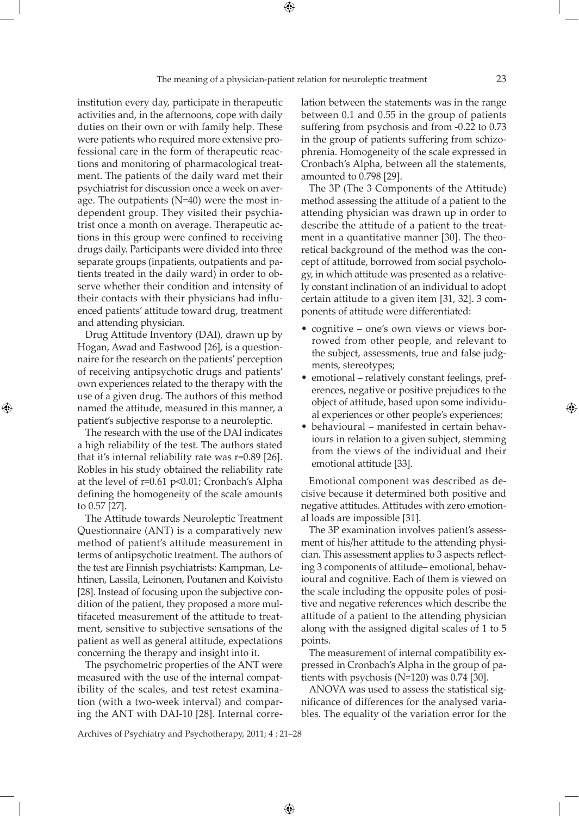institution every day, participate in therapeutic activities and, in the afternoons, cope with daily duties on their own or with family help. These were patients who required more extensive professional care in the form of therapeutic reactions and monitoring of pharmacological treatment. The patients of the daily ward met their psychiatrist for discussion once a week on average. The outpatients (N=40) were the most independent group. They visited their psychiatrist once a month on average. Therapeutic actions in this group were confined to receiving drugs daily. Participants were divided into three separate groups (inpatients, outpatients and patients treated in the daily ward) in order to observe whether their condition and intensity of their contacts with their physicians had influenced patients' attitude toward drug, treatment and attending physician.

Drug Attitude Inventory (DAI), drawn up by Hogan, Awad and Eastwood [26], is a questionnaire for the research on the patients' perception of receiving antipsychotic drugs and patients' own experiences related to the therapy with the use of a given drug. The authors of this method named the attitude, measured in this manner, a patient's subjective response to a neuroleptic.

⊕

The research with the use of the DAI indicates a high reliability of the test. The authors stated that it's internal reliability rate was r=0.89 [26]. Robles in his study obtained the reliability rate at the level of r=0.61 p<0.01; Cronbach's Alpha defining the homogeneity of the scale amounts to 0.57 [27].

The Attitude towards Neuroleptic Treatment Questionnaire (ANT) is a comparatively new method of patient's attitude measurement in terms of antipsychotic treatment. The authors of the test are Finnish psychiatrists: Kampman, Lehtinen, Lassila, Leinonen, Poutanen and Koivisto [28]. Instead of focusing upon the subjective condition of the patient, they proposed a more multifaceted measurement of the attitude to treatment, sensitive to subjective sensations of the patient as well as general attitude, expectations concerning the therapy and insight into it.

The psychometric properties of the ANT were measured with the use of the internal compatibility of the scales, and test retest examination (with a two-week interval) and comparing the ANT with DAI-10 [28]. Internal correlation between the statements was in the range between 0.1 and 0.55 in the group of patients suffering from psychosis and from -0.22 to 0.73 in the group of patients suffering from schizophrenia. Homogeneity of the scale expressed in Cronbach's Alpha, between all the statements, amounted to 0.798 [29].

The 3P (The 3 Components of the Attitude) method assessing the attitude of a patient to the attending physician was drawn up in order to describe the attitude of a patient to the treatment in a quantitative manner [30]. The theoretical background of the method was the concept of attitude, borrowed from social psychology, in which attitude was presented as a relatively constant inclination of an individual to adopt certain attitude to a given item [31, 32]. 3 components of attitude were differentiated:

- cognitive one's own views or views borrowed from other people, and relevant to the subject, assessments, true and false judgments, stereotypes;
- emotional relatively constant feelings, preferences, negative or positive prejudices to the object of attitude, based upon some individual experiences or other people's experiences;
- • behavioural manifested in certain behaviours in relation to a given subject, stemming from the views of the individual and their emotional attitude [33].

Emotional component was described as decisive because it determined both positive and negative attitudes. Attitudes with zero emotional loads are impossible [31].

The 3P examination involves patient's assessment of his/her attitude to the attending physician. This assessment applies to 3 aspects reflecting 3 components of attitude– emotional, behavioural and cognitive. Each of them is viewed on the scale including the opposite poles of positive and negative references which describe the attitude of a patient to the attending physician along with the assigned digital scales of 1 to 5 points.

The measurement of internal compatibility expressed in Cronbach's Alpha in the group of patients with psychosis (N=120) was 0.74 [30].

ANOVA was used to assess the statistical significance of differences for the analysed variables. The equality of the variation error for the

Archives of Psychiatry and Psychotherapy, 2011; 4 : 21–28

 $\bigoplus$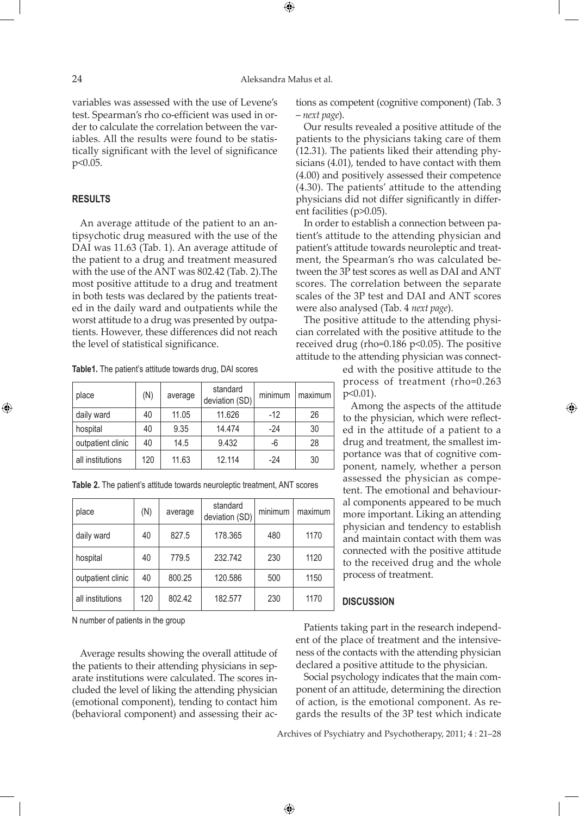## 24 Aleksandra Małus et al.

⊕

variables was assessed with the use of Levene's test. Spearman's rho co-efficient was used in order to calculate the correlation between the variables. All the results were found to be statistically significant with the level of significance p<0.05.

## **RESULTS**

⊕

An average attitude of the patient to an antipsychotic drug measured with the use of the DAI was 11.63 (Tab. 1). An average attitude of the patient to a drug and treatment measured with the use of the ANT was 802.42 (Tab. 2).The most positive attitude to a drug and treatment in both tests was declared by the patients treated in the daily ward and outpatients while the worst attitude to a drug was presented by outpatients. However, these differences did not reach the level of statistical significance.

**Table1.** The patient's attitude towards drug, DAI scores

| place             | (N) | average | standard<br>deviation (SD) | minimum | maximum |
|-------------------|-----|---------|----------------------------|---------|---------|
| daily ward        | 40  | 11.05   | 11.626                     | $-12$   | 26      |
| hospital          | 40  | 9.35    | 14.474                     | $-24$   | 30      |
| outpatient clinic | 40  | 14.5    | 9.432                      | -6      | 28      |
| all institutions  | 120 | 11.63   | 12.114                     | -24     | 30      |

**Table 2.** The patient's attitude towards neuroleptic treatment, ANT scores

| place             | (N) | average | standard<br>deviation (SD) | minimum | maximum |
|-------------------|-----|---------|----------------------------|---------|---------|
| daily ward        | 40  | 827.5   | 178.365                    | 480     | 1170    |
| hospital          | 40  | 779.5   | 232.742                    | 230     | 1120    |
| outpatient clinic | 40  | 800.25  | 120.586                    | 500     | 1150    |
| all institutions  | 120 | 802.42  | 182.577                    | 230     | 1170    |

N number of patients in the group

Average results showing the overall attitude of the patients to their attending physicians in separate institutions were calculated. The scores included the level of liking the attending physician (emotional component), tending to contact him (behavioral component) and assessing their actions as competent (cognitive component) (Tab. 3 – *next page*).

Our results revealed a positive attitude of the patients to the physicians taking care of them (12.31). The patients liked their attending physicians (4.01), tended to have contact with them (4.00) and positively assessed their competence (4.30). The patients' attitude to the attending physicians did not differ significantly in different facilities (p>0.05).

In order to establish a connection between patient's attitude to the attending physician and patient's attitude towards neuroleptic and treatment, the Spearman's rho was calculated between the 3P test scores as well as DAI and ANT scores. The correlation between the separate scales of the 3P test and DAI and ANT scores were also analysed (Tab. 4 *next page*).

The positive attitude to the attending physician correlated with the positive attitude to the received drug (rho=0.186 p<0.05). The positive attitude to the attending physician was connect-

> ed with the positive attitude to the process of treatment (rho=0.263 p<0.01).

Among the aspects of the attitude to the physician, which were reflected in the attitude of a patient to a drug and treatment, the smallest importance was that of cognitive component, namely, whether a person assessed the physician as competent. The emotional and behavioural components appeared to be much more important. Liking an attending physician and tendency to establish and maintain contact with them was connected with the positive attitude to the received drug and the whole process of treatment.

# **DISCUSSION**

Patients taking part in the research independent of the place of treatment and the intensiveness of the contacts with the attending physician declared a positive attitude to the physician.

Social psychology indicates that the main component of an attitude, determining the direction of action, is the emotional component. As regards the results of the 3P test which indicate

Archives of Psychiatry and Psychotherapy, 2011; 4 : 21–28

 $\bigoplus$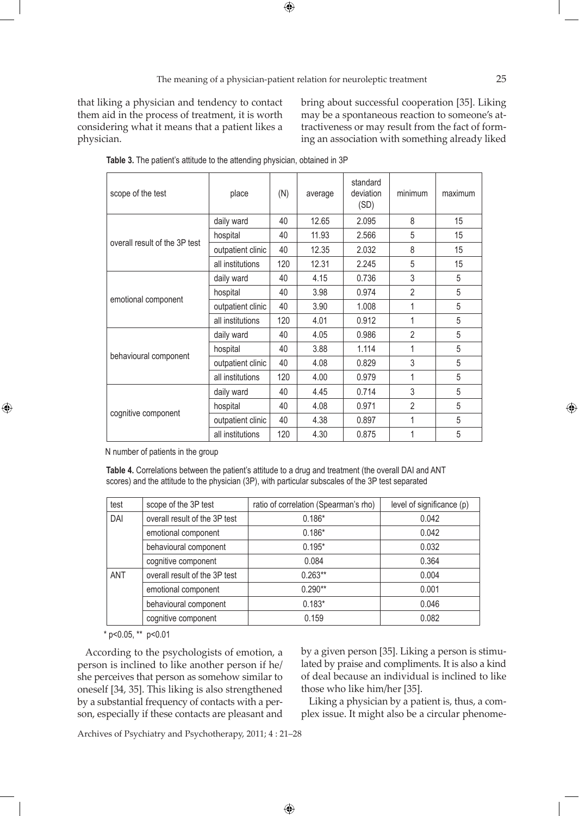$\bigoplus$ 

that liking a physician and tendency to contact them aid in the process of treatment, it is worth considering what it means that a patient likes a physician.

bring about successful cooperation [35]. Liking may be a spontaneous reaction to someone's attractiveness or may result from the fact of forming an association with something already liked

| scope of the test             | place             | (N) | average | standard<br>deviation<br>(SD) | minimum        | maximum |
|-------------------------------|-------------------|-----|---------|-------------------------------|----------------|---------|
| overall result of the 3P test | daily ward        | 40  | 12.65   | 2.095                         | 8              | 15      |
|                               | hospital          | 40  | 11.93   | 2.566                         | 5              | 15      |
|                               | outpatient clinic | 40  | 12.35   | 2.032                         | 8              | 15      |
|                               | all institutions  | 120 | 12.31   | 2.245                         | 5              | 15      |
| emotional component           | daily ward        | 40  | 4.15    | 0.736                         | 3              | 5       |
|                               | hospital          | 40  | 3.98    | 0.974                         | $\overline{2}$ | 5       |
|                               | outpatient clinic | 40  | 3.90    | 1.008                         | 1              | 5       |
|                               | all institutions  | 120 | 4.01    | 0.912                         | 1              | 5       |
|                               | daily ward        | 40  | 4.05    | 0.986                         | $\overline{2}$ | 5       |
|                               | hospital          | 40  | 3.88    | 1.114                         | 1              | 5       |
| behavioural component         | outpatient clinic | 40  | 4.08    | 0.829                         | 3              | 5       |
|                               | all institutions  | 120 | 4.00    | 0.979                         | 1              | 5       |
|                               | daily ward        | 40  | 4.45    | 0.714                         | $\mathfrak{Z}$ | 5       |
|                               | hospital          | 40  | 4.08    | 0.971                         | $\overline{2}$ | 5       |
| cognitive component           | outpatient clinic | 40  | 4.38    | 0.897                         | 1              | 5       |
|                               | all institutions  | 120 | 4.30    | 0.875                         | 1              | 5       |

**Table 3.** The patient's attitude to the attending physician, obtained in 3P

N number of patients in the group

⊕

**Table 4.** Correlations between the patient's attitude to a drug and treatment (the overall DAI and ANT scores) and the attitude to the physician (3P), with particular subscales of the 3P test separated

| test       | scope of the 3P test          | ratio of correlation (Spearman's rho) | level of significance (p) |  |
|------------|-------------------------------|---------------------------------------|---------------------------|--|
| DAI        | overall result of the 3P test | $0.186*$                              | 0.042                     |  |
|            | emotional component           | $0.186*$                              | 0.042                     |  |
|            | behavioural component         | $0.195*$                              | 0.032                     |  |
|            | cognitive component           | 0.084                                 | 0.364                     |  |
| <b>ANT</b> | overall result of the 3P test | $0.263**$                             | 0.004                     |  |
|            | emotional component           | $0.290**$                             | 0.001                     |  |
|            | behavioural component         | $0.183*$                              | 0.046                     |  |
|            | cognitive component           | 0.159                                 | 0.082                     |  |

 $\bigoplus$ 

 $*$  p<0.05,  $*$  p<0.01

According to the psychologists of emotion, a person is inclined to like another person if he/ she perceives that person as somehow similar to oneself [34, 35]. This liking is also strengthened by a substantial frequency of contacts with a person, especially if these contacts are pleasant and by a given person [35]. Liking a person is stimulated by praise and compliments. It is also a kind of deal because an individual is inclined to like those who like him/her [35].

Liking a physician by a patient is, thus, a complex issue. It might also be a circular phenome-

Archives of Psychiatry and Psychotherapy, 2011; 4 : 21–28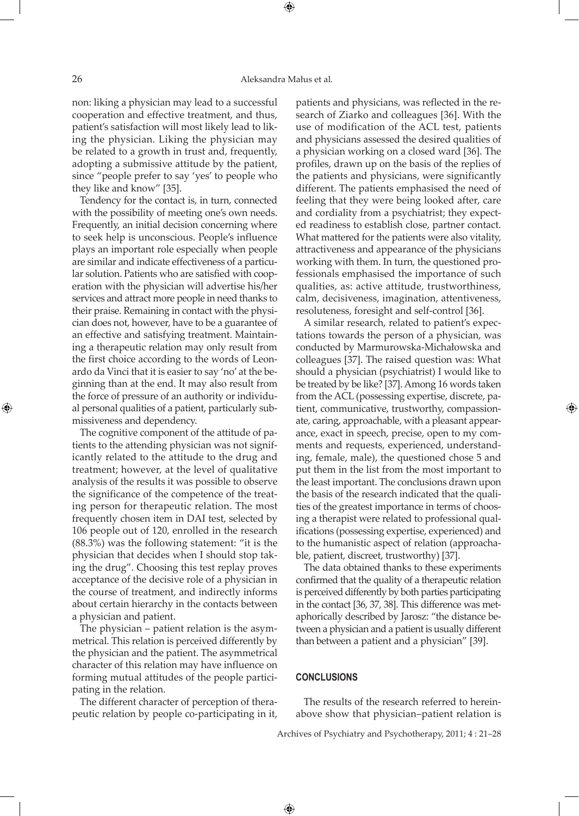non: liking a physician may lead to a successful cooperation and effective treatment, and thus, patient's satisfaction will most likely lead to liking the physician. Liking the physician may be related to a growth in trust and, frequently, adopting a submissive attitude by the patient, since "people prefer to say 'yes' to people who they like and know" [35].

Tendency for the contact is, in turn, connected with the possibility of meeting one's own needs. Frequently, an initial decision concerning where to seek help is unconscious. People's influence plays an important role especially when people are similar and indicate effectiveness of a particular solution. Patients who are satisfied with cooperation with the physician will advertise his/her services and attract more people in need thanks to their praise. Remaining in contact with the physician does not, however, have to be a guarantee of an effective and satisfying treatment. Maintaining a therapeutic relation may only result from the first choice according to the words of Leonardo da Vinci that it is easier to say 'no' at the beginning than at the end. It may also result from the force of pressure of an authority or individual personal qualities of a patient, particularly submissiveness and dependency.

The cognitive component of the attitude of patients to the attending physician was not significantly related to the attitude to the drug and treatment; however, at the level of qualitative analysis of the results it was possible to observe the significance of the competence of the treating person for therapeutic relation. The most frequently chosen item in DAI test, selected by 106 people out of 120, enrolled in the research (88.3%) was the following statement: "it is the physician that decides when I should stop taking the drug". Choosing this test replay proves acceptance of the decisive role of a physician in the course of treatment, and indirectly informs about certain hierarchy in the contacts between a physician and patient.

The physician – patient relation is the asymmetrical. This relation is perceived differently by the physician and the patient. The asymmetrical character of this relation may have influence on forming mutual attitudes of the people participating in the relation.

The different character of perception of therapeutic relation by people co-participating in it,

patients and physicians, was reflected in the research of Ziarko and colleagues [36]. With the use of modification of the ACL test, patients and physicians assessed the desired qualities of a physician working on a closed ward [36]. The profiles, drawn up on the basis of the replies of the patients and physicians, were significantly different. The patients emphasised the need of feeling that they were being looked after, care and cordiality from a psychiatrist; they expected readiness to establish close, partner contact. What mattered for the patients were also vitality, attractiveness and appearance of the physicians working with them. In turn, the questioned professionals emphasised the importance of such qualities, as: active attitude, trustworthiness, calm, decisiveness, imagination, attentiveness, resoluteness, foresight and self-control [36].

A similar research, related to patient's expectations towards the person of a physician, was conducted by Marmurowska-Michałowska and colleagues [37]. The raised question was: What should a physician (psychiatrist) I would like to be treated by be like? [37]. Among 16 words taken from the ACL (possessing expertise, discrete, patient, communicative, trustworthy, compassionate, caring, approachable, with a pleasant appearance, exact in speech, precise, open to my comments and requests, experienced, understanding, female, male), the questioned chose 5 and put them in the list from the most important to the least important. The conclusions drawn upon the basis of the research indicated that the qualities of the greatest importance in terms of choosing a therapist were related to professional qualifications (possessing expertise, experienced) and to the humanistic aspect of relation (approachable, patient, discreet, trustworthy) [37].

⊕

The data obtained thanks to these experiments confirmed that the quality of a therapeutic relation is perceived differently by both parties participating in the contact [36, 37, 38]. This difference was metaphorically described by Jarosz: "the distance between a physician and a patient is usually different than between a patient and a physician" [39].

#### **CONCLUSIONS**

 $\bigoplus$ 

The results of the research referred to hereinabove show that physician–patient relation is

Archives of Psychiatry and Psychotherapy, 2011; 4 : 21–28

⊕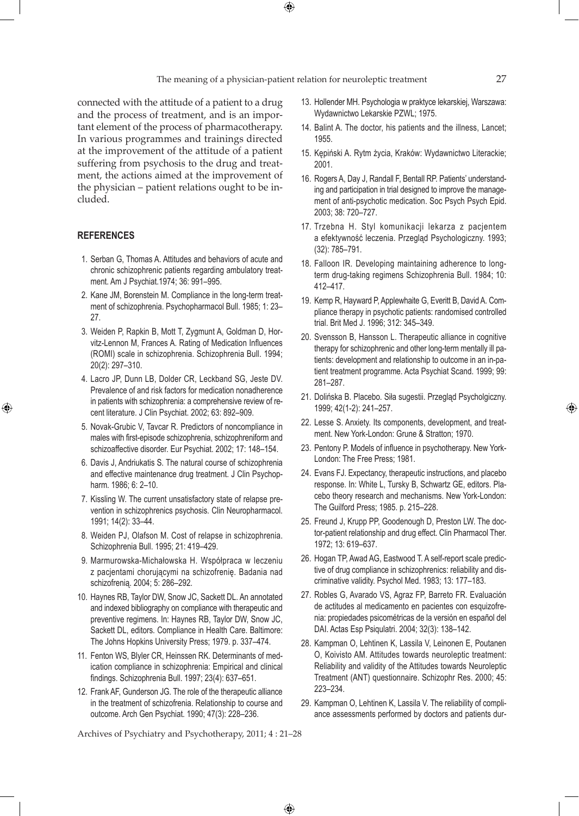The meaning of a physician-patient relation for neuroleptic treatment 27

 $\bigoplus$ 

connected with the attitude of a patient to a drug and the process of treatment, and is an important element of the process of pharmacotherapy. In various programmes and trainings directed at the improvement of the attitude of a patient suffering from psychosis to the drug and treatment, the actions aimed at the improvement of the physician – patient relations ought to be included.

# **REFERENCES**

⊕

- 1. Serban G, Thomas A. Attitudes and behaviors of acute and chronic schizophrenic patients regarding ambulatory treatment. Am J Psychiat.1974; 36: 991–995.
- 2. Kane JM, Borenstein M. Compliance in the long-term treatment of schizophrenia. Psychopharmacol Bull. 1985; 1: 23– 27.
- 3. Weiden P, Rapkin B, Mott T, Zygmunt A, Goldman D, Horvitz-Lennon M, Frances A. Rating of Medication Influences (ROMI) scale in schizophrenia. Schizophrenia Bull. 1994; 20(2): 297–310.
- 4. Lacro JP, Dunn LB, Dolder CR, Leckband SG, Jeste DV. Prevalence of and risk factors for medication nonadherence in patients with schizophrenia: a comprehensive review of recent literature. J Clin Psychiat. 2002; 63: 892–909.
- 5. Novak-Grubic V, Tavcar R. Predictors of noncompliance in males with first-episode schizophrenia, schizophreniform and schizoaffective disorder. Eur Psychiat. 2002; 17: 148–154.
- 6. Davis J, Andriukatis S. The natural course of schizophrenia and effective maintenance drug treatment. J Clin Psychopharm. 1986; 6: 2–10.
- 7. Kissling W. The current unsatisfactory state of relapse prevention in schizophrenics psychosis. Clin Neuropharmacol. 1991; 14(2): 33–44.
- 8. Weiden PJ, Olafson M. Cost of relapse in schizophrenia. Schizophrenia Bull. 1995; 21: 419–429.
- 9. Marmurowska-Michałowska H. Współpraca w leczeniu z pacjentami chorującymi na schizofrenię. Badania nad schizofrenią. 2004; 5: 286–292.
- 10. Haynes RB, Taylor DW, Snow JC, Sackett DL. An annotated and indexed bibliography on compliance with therapeutic and preventive regimens. In: Haynes RB, Taylor DW, Snow JC, Sackett DL, editors. Compliance in Health Care. Baltimore: The Johns Hopkins University Press; 1979. p. 337–474.
- 11. Fenton WS, Blyler CR, Heinssen RK. Determinants of medication compliance in schizophrenia: Empirical and clinical findings. Schizophrenia Bull. 1997; 23(4): 637–651.
- 12. Frank AF, Gunderson JG. The role of the therapeutic alliance in the treatment of schizofrenia. Relationship to course and outcome. Arch Gen Psychiat. 1990; 47(3): 228–236.

13. Hollender MH. Psychologia w praktyce lekarskiej, Warszawa: Wydawnictwo Lekarskie PZWL; 1975.

- 14. Balint A. The doctor, his patients and the illness, Lancet; 1955.
- 15. Kępiński A. Rytm życia, Kraków: Wydawnictwo Literackie; 2001.
- 16. Rogers A, Day J, Randall F, Bentall RP. Patients' understanding and participation in trial designed to improve the management of anti-psychotic medication. Soc Psych Psych Epid. 2003; 38: 720–727.
- 17. Trzebna H. Styl komunikacji lekarza z pacjentem a efektywność leczenia. Przegląd Psychologiczny. 1993; (32): 785–791.
- 18. Falloon IR. Developing maintaining adherence to longterm drug-taking regimens Schizophrenia Bull. 1984; 10: 412–417.
- 19. Kemp R, Hayward P, Applewhaite G, Everitt B, David A. Compliance therapy in psychotic patients: randomised controlled trial. Brit Med J. 1996; 312: 345–349.
- 20. Svensson B, Hansson L. Therapeutic alliance in cognitive therapy for schizophrenic and other long-term mentally ill patients: development and relationship to outcome in an in-patient treatment programme. Acta Psychiat Scand. 1999; 99: 281–287.
- 21. Dolińska B. Placebo. Siła sugestii. Przegląd Psycholgiczny. 1999; 42(1-2): 241–257.
- 22. Lesse S. Anxiety. Its components, development, and treatment. New York-London: Grune & Stratton; 1970.
- 23. Pentony P. Models of influence in psychotherapy. New York-London: The Free Press; 1981.
- 24. Evans FJ. Expectancy, therapeutic instructions, and placebo response. In: White L, Tursky B, Schwartz GE, editors. Placebo theory research and mechanisms. New York-London: The Guilford Press; 1985. p. 215–228.
- 25. Freund J, Krupp PP, Goodenough D, Preston LW. The doctor-patient relationship and drug effect. Clin Pharmacol Ther. 1972; 13: 619–637.
- 26. Hogan TP, Awad AG, Eastwood T. A self-report scale predictive of drug compliance in schizophrenics: reliability and discriminative validity. Psychol Med. 1983; 13: 177–183.
- 27. Robles G, Avarado VS, Agraz FP, Barreto FR. Evaluación de actitudes al medicamento en pacientes con esquizofrenia: propiedades psicométricas de la versión en español del DAI. Actas Esp Psiqulatri. 2004; 32(3): 138–142.
- 28. Kampman O, Lehtinen K, Lassila V, Leinonen E, Poutanen O, Koivisto AM. Attitudes towards neuroleptic treatment: Reliability and validity of the Attitudes towards Neuroleptic Treatment (ANT) questionnaire. Schizophr Res. 2000; 45: 223–234.
- 29. Kampman O, Lehtinen K, Lassila V. The reliability of compliance assessments performed by doctors and patients dur-

Archives of Psychiatry and Psychotherapy, 2011; 4 : 21–28

 $\bigoplus$